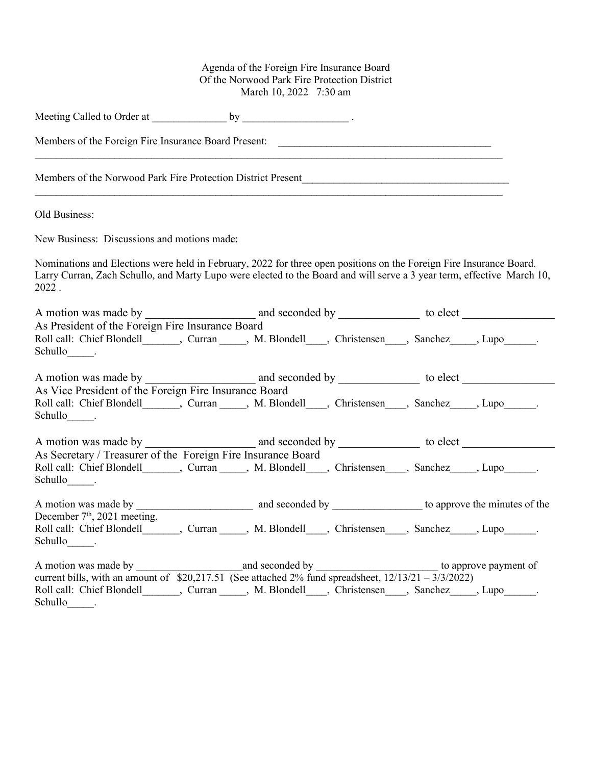## Agenda of the Foreign Fire Insurance Board Of the Norwood Park Fire Protection District March 10, 2022 7:30 am

| Members of the Foreign Fire Insurance Board Present:                                                                                                                                                                                                      |  |  |
|-----------------------------------------------------------------------------------------------------------------------------------------------------------------------------------------------------------------------------------------------------------|--|--|
|                                                                                                                                                                                                                                                           |  |  |
| Old Business:                                                                                                                                                                                                                                             |  |  |
| New Business: Discussions and motions made:                                                                                                                                                                                                               |  |  |
| Nominations and Elections were held in February, 2022 for three open positions on the Foreign Fire Insurance Board.<br>Larry Curran, Zach Schullo, and Marty Lupo were elected to the Board and will serve a 3 year term, effective March 10,<br>$2022$ . |  |  |
|                                                                                                                                                                                                                                                           |  |  |
| As President of the Foreign Fire Insurance Board<br>Roll call: Chief Blondell_______, Curran _____, M. Blondell____, Christensen ____, Sanchez_____, Lupo______.<br>Schullo .                                                                             |  |  |
|                                                                                                                                                                                                                                                           |  |  |
| As Vice President of the Foreign Fire Insurance Board<br>Roll call: Chief Blondell_______, Curran _____, M. Blondell____, Christensen ____, Sanchez _____, Lupo ______.<br>Schullo .                                                                      |  |  |
|                                                                                                                                                                                                                                                           |  |  |
| As Secretary / Treasurer of the Foreign Fire Insurance Board<br>Roll call: Chief Blondell________, Curran _____, M. Blondell____, Christensen____, Sanchez_____, Lupo______.<br>Schullo_______.                                                           |  |  |
|                                                                                                                                                                                                                                                           |  |  |
| December $7th$ , 2021 meeting.<br>Roll call: Chief Blondell _______, Curran _____, M. Blondell ____, Christensen ____, Sanchez _____, Lupo _____.<br>Schullo .                                                                                            |  |  |
| Roll call: Chief Blondell _______, Curran _____, M. Blondell ____, Christensen ____, Sanchez _____, Lupo _____.<br>$Schullo$ $\qquad$ .                                                                                                                   |  |  |